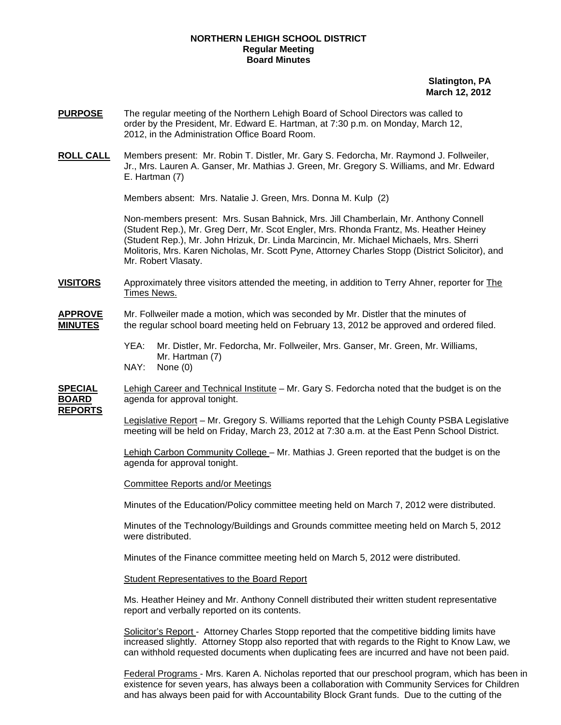## **NORTHERN LEHIGH SCHOOL DISTRICT Regular Meeting Board Minutes**

 **Slatington, PA March 12, 2012** 

- **PURPOSE** The regular meeting of the Northern Lehigh Board of School Directors was called to order by the President, Mr. Edward E. Hartman, at 7:30 p.m. on Monday, March 12, 2012, in the Administration Office Board Room.
- **ROLL CALL** Members present: Mr. Robin T. Distler, Mr. Gary S. Fedorcha, Mr. Raymond J. Follweiler, Jr., Mrs. Lauren A. Ganser, Mr. Mathias J. Green, Mr. Gregory S. Williams, and Mr. Edward E. Hartman (7)

Members absent: Mrs. Natalie J. Green, Mrs. Donna M. Kulp (2)

Non-members present: Mrs. Susan Bahnick, Mrs. Jill Chamberlain, Mr. Anthony Connell (Student Rep.), Mr. Greg Derr, Mr. Scot Engler, Mrs. Rhonda Frantz, Ms. Heather Heiney (Student Rep.), Mr. John Hrizuk, Dr. Linda Marcincin, Mr. Michael Michaels, Mrs. Sherri Molitoris, Mrs. Karen Nicholas, Mr. Scott Pyne, Attorney Charles Stopp (District Solicitor), and Mr. Robert Vlasaty.

**VISITORS** Approximately three visitors attended the meeting, in addition to Terry Ahner, reporter for The Times News.

## **APPROVE** Mr. Follweiler made a motion, which was seconded by Mr. Distler that the minutes of **MINUTES** the regular school board meeting held on February 13, 2012 be approved and ordered filed.

- YEA: Mr. Distler, Mr. Fedorcha, Mr. Follweiler, Mrs. Ganser, Mr. Green, Mr. Williams, Mr. Hartman (7) NAY: None (0)
- 

**SPECIAL** Lehigh Career and Technical Institute – Mr. Gary S. Fedorcha noted that the budget is on the **BOARD** agenda for approval tonight.

**REPORTS**

 Legislative Report – Mr. Gregory S. Williams reported that the Lehigh County PSBA Legislative meeting will be held on Friday, March 23, 2012 at 7:30 a.m. at the East Penn School District.

 Lehigh Carbon Community College – Mr. Mathias J. Green reported that the budget is on the agenda for approval tonight.

Committee Reports and/or Meetings

Minutes of the Education/Policy committee meeting held on March 7, 2012 were distributed.

 Minutes of the Technology/Buildings and Grounds committee meeting held on March 5, 2012 were distributed.

Minutes of the Finance committee meeting held on March 5, 2012 were distributed.

Student Representatives to the Board Report

Ms. Heather Heiney and Mr. Anthony Connell distributed their written student representative report and verbally reported on its contents.

Solicitor's Report - Attorney Charles Stopp reported that the competitive bidding limits have increased slightly. Attorney Stopp also reported that with regards to the Right to Know Law, we can withhold requested documents when duplicating fees are incurred and have not been paid.

Federal Programs - Mrs. Karen A. Nicholas reported that our preschool program, which has been in existence for seven years, has always been a collaboration with Community Services for Children and has always been paid for with Accountability Block Grant funds. Due to the cutting of the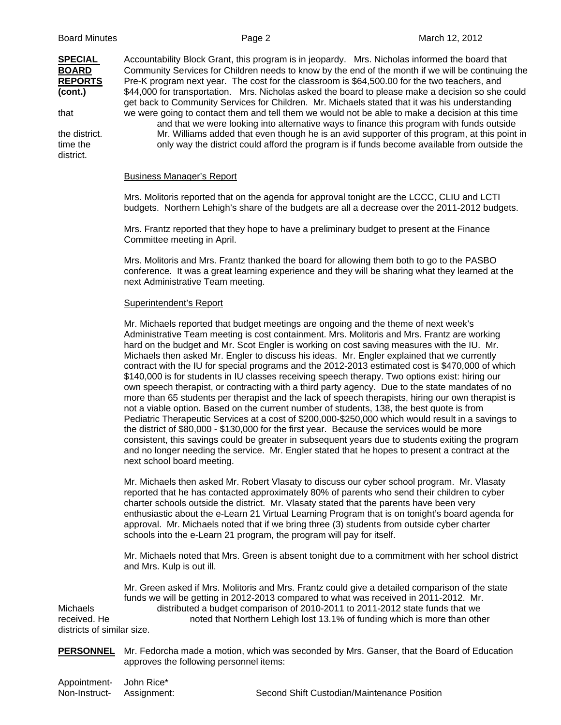**SPECIAL** Accountability Block Grant, this program is in jeopardy. Mrs. Nicholas informed the board that

time the only way the district could afford the program is if funds become available from outside the district.

**BOARD** Community Services for Children needs to know by the end of the month if we will be continuing the **REPORTS** Pre-K program next year. The cost for the classroom is \$64,500.00 for the two teachers, and **(cont.)** \$44,000 for transportation. Mrs. Nicholas asked the board to please make a decision so she could get back to Community Services for Children. Mr. Michaels stated that it was his understanding that we were going to contact them and tell them we would not be able to make a decision at this time and that we were looking into alternative ways to finance this program with funds outside the district. Mr. Williams added that even though he is an avid supporter of this program, at this point in

Business Manager's Report

 Mrs. Molitoris reported that on the agenda for approval tonight are the LCCC, CLIU and LCTI budgets. Northern Lehigh's share of the budgets are all a decrease over the 2011-2012 budgets.

 Mrs. Frantz reported that they hope to have a preliminary budget to present at the Finance Committee meeting in April.

 Mrs. Molitoris and Mrs. Frantz thanked the board for allowing them both to go to the PASBO conference. It was a great learning experience and they will be sharing what they learned at the next Administrative Team meeting.

## Superintendent's Report

Mr. Michaels reported that budget meetings are ongoing and the theme of next week's Administrative Team meeting is cost containment. Mrs. Molitoris and Mrs. Frantz are working hard on the budget and Mr. Scot Engler is working on cost saving measures with the IU. Mr. Michaels then asked Mr. Engler to discuss his ideas. Mr. Engler explained that we currently contract with the IU for special programs and the 2012-2013 estimated cost is \$470,000 of which \$140,000 is for students in IU classes receiving speech therapy. Two options exist: hiring our own speech therapist, or contracting with a third party agency. Due to the state mandates of no more than 65 students per therapist and the lack of speech therapists, hiring our own therapist is not a viable option. Based on the current number of students, 138, the best quote is from Pediatric Therapeutic Services at a cost of \$200,000-\$250,000 which would result in a savings to the district of \$80,000 - \$130,000 for the first year. Because the services would be more consistent, this savings could be greater in subsequent years due to students exiting the program and no longer needing the service. Mr. Engler stated that he hopes to present a contract at the next school board meeting.

Mr. Michaels then asked Mr. Robert Vlasaty to discuss our cyber school program. Mr. Vlasaty reported that he has contacted approximately 80% of parents who send their children to cyber charter schools outside the district. Mr. Vlasaty stated that the parents have been very enthusiastic about the e-Learn 21 Virtual Learning Program that is on tonight's board agenda for approval. Mr. Michaels noted that if we bring three (3) students from outside cyber charter schools into the e-Learn 21 program, the program will pay for itself.

Mr. Michaels noted that Mrs. Green is absent tonight due to a commitment with her school district and Mrs. Kulp is out ill.

 Mr. Green asked if Mrs. Molitoris and Mrs. Frantz could give a detailed comparison of the state funds we will be getting in 2012-2013 compared to what was received in 2011-2012. Mr. Michaels distributed a budget comparison of 2010-2011 to 2011-2012 state funds that we received. He noted that Northern Lehigh lost 13.1% of funding which is more than other districts of similar size.

- **PERSONNEL** Mr. Fedorcha made a motion, which was seconded by Mrs. Ganser, that the Board of Education approves the following personnel items:
- Appointment- John Rice\*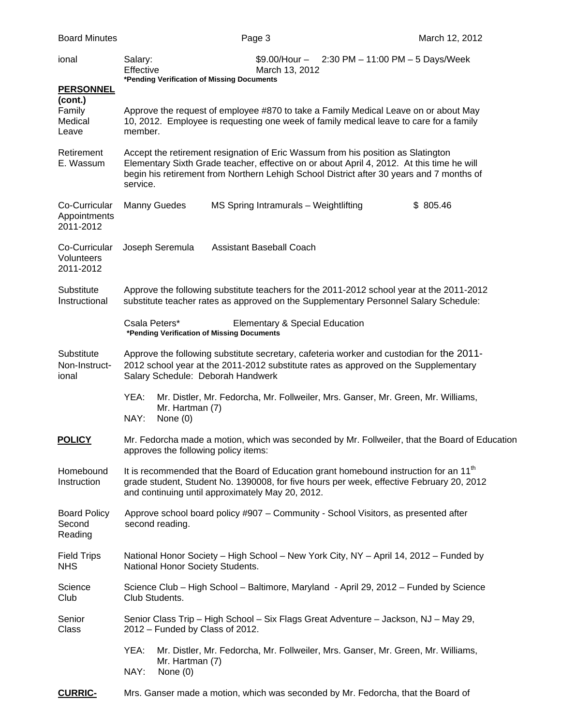| ional                                           | Salary:<br>Effective<br>*Pending Verification of Missing Documents                                                                                                                                                                                                                    | $$9.00/H$ our - 2:30 PM - 11:00 PM - 5 Days/Week<br>March 13, 2012                                                                                                                            |          |
|-------------------------------------------------|---------------------------------------------------------------------------------------------------------------------------------------------------------------------------------------------------------------------------------------------------------------------------------------|-----------------------------------------------------------------------------------------------------------------------------------------------------------------------------------------------|----------|
| <b>PERSONNEL</b>                                |                                                                                                                                                                                                                                                                                       |                                                                                                                                                                                               |          |
| (cont.)<br>Family<br>Medical<br>Leave           | member.                                                                                                                                                                                                                                                                               | Approve the request of employee #870 to take a Family Medical Leave on or about May<br>10, 2012. Employee is requesting one week of family medical leave to care for a family                 |          |
| Retirement<br>E. Wassum                         | Accept the retirement resignation of Eric Wassum from his position as Slatington<br>Elementary Sixth Grade teacher, effective on or about April 4, 2012. At this time he will<br>begin his retirement from Northern Lehigh School District after 30 years and 7 months of<br>service. |                                                                                                                                                                                               |          |
| Co-Curricular<br>Appointments<br>2011-2012      | Manny Guedes                                                                                                                                                                                                                                                                          | MS Spring Intramurals - Weightlifting                                                                                                                                                         | \$805.46 |
| Co-Curricular<br><b>Volunteers</b><br>2011-2012 | Joseph Seremula                                                                                                                                                                                                                                                                       | <b>Assistant Baseball Coach</b>                                                                                                                                                               |          |
| Substitute<br>Instructional                     |                                                                                                                                                                                                                                                                                       | Approve the following substitute teachers for the 2011-2012 school year at the 2011-2012<br>substitute teacher rates as approved on the Supplementary Personnel Salary Schedule:              |          |
|                                                 | Csala Peters*<br>*Pending Verification of Missing Documents                                                                                                                                                                                                                           | <b>Elementary &amp; Special Education</b>                                                                                                                                                     |          |
| Substitute<br>Non-Instruct-<br>ional            | Salary Schedule: Deborah Handwerk                                                                                                                                                                                                                                                     | Approve the following substitute secretary, cafeteria worker and custodian for the 2011-<br>2012 school year at the 2011-2012 substitute rates as approved on the Supplementary               |          |
|                                                 | YEA:<br>Mr. Hartman (7)<br>NAY:<br>None (0)                                                                                                                                                                                                                                           | Mr. Distler, Mr. Fedorcha, Mr. Follweiler, Mrs. Ganser, Mr. Green, Mr. Williams,                                                                                                              |          |
| <b>POLICY</b>                                   | approves the following policy items:                                                                                                                                                                                                                                                  | Mr. Fedorcha made a motion, which was seconded by Mr. Follweiler, that the Board of Education                                                                                                 |          |
| Homebound<br>Instruction                        | and continuing until approximately May 20, 2012.                                                                                                                                                                                                                                      | It is recommended that the Board of Education grant homebound instruction for an 11 <sup>th</sup><br>grade student, Student No. 1390008, for five hours per week, effective February 20, 2012 |          |
| <b>Board Policy</b><br>Second<br>Reading        | second reading.                                                                                                                                                                                                                                                                       | Approve school board policy #907 - Community - School Visitors, as presented after                                                                                                            |          |
| <b>Field Trips</b><br><b>NHS</b>                | National Honor Society Students.                                                                                                                                                                                                                                                      | National Honor Society - High School - New York City, NY - April 14, 2012 - Funded by                                                                                                         |          |
| Science<br>Club                                 | Club Students.                                                                                                                                                                                                                                                                        | Science Club – High School – Baltimore, Maryland - April 29, 2012 – Funded by Science                                                                                                         |          |
| Senior<br>Class                                 | 2012 - Funded by Class of 2012.                                                                                                                                                                                                                                                       | Senior Class Trip - High School - Six Flags Great Adventure - Jackson, NJ - May 29,                                                                                                           |          |
|                                                 | YEA:<br>Mr. Hartman (7)<br>NAY:<br>None $(0)$                                                                                                                                                                                                                                         | Mr. Distler, Mr. Fedorcha, Mr. Follweiler, Mrs. Ganser, Mr. Green, Mr. Williams,                                                                                                              |          |
| <b>CURRIC-</b>                                  |                                                                                                                                                                                                                                                                                       | Mrs. Ganser made a motion, which was seconded by Mr. Fedorcha, that the Board of                                                                                                              |          |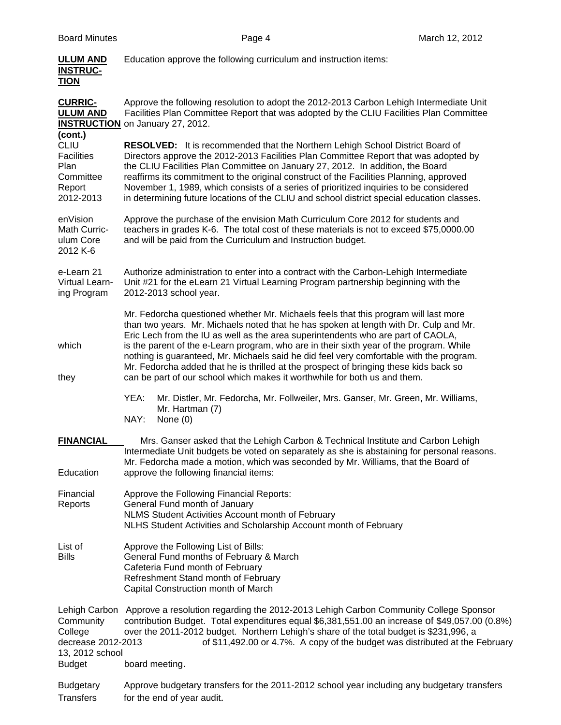| <b>ULUM AND</b><br><b>INSTRUC-</b><br><b>TION</b>                            | Education approve the following curriculum and instruction items:                                                                                                                                                                                                                                                                                                                                                                                                                                                                                                                                                            |
|------------------------------------------------------------------------------|------------------------------------------------------------------------------------------------------------------------------------------------------------------------------------------------------------------------------------------------------------------------------------------------------------------------------------------------------------------------------------------------------------------------------------------------------------------------------------------------------------------------------------------------------------------------------------------------------------------------------|
| <b>CURRIC-</b><br><b>ULUM AND</b><br>(cont.)                                 | Approve the following resolution to adopt the 2012-2013 Carbon Lehigh Intermediate Unit<br>Facilities Plan Committee Report that was adopted by the CLIU Facilities Plan Committee<br><b>INSTRUCTION</b> on January 27, 2012.                                                                                                                                                                                                                                                                                                                                                                                                |
| <b>CLIU</b><br><b>Facilities</b><br>Plan<br>Committee<br>Report<br>2012-2013 | <b>RESOLVED:</b> It is recommended that the Northern Lehigh School District Board of<br>Directors approve the 2012-2013 Facilities Plan Committee Report that was adopted by<br>the CLIU Facilities Plan Committee on January 27, 2012. In addition, the Board<br>reaffirms its commitment to the original construct of the Facilities Planning, approved<br>November 1, 1989, which consists of a series of prioritized inquiries to be considered<br>in determining future locations of the CLIU and school district special education classes.                                                                            |
| enVision<br>Math Curric-<br>ulum Core<br>2012 K-6                            | Approve the purchase of the envision Math Curriculum Core 2012 for students and<br>teachers in grades K-6. The total cost of these materials is not to exceed \$75,0000.00<br>and will be paid from the Curriculum and Instruction budget.                                                                                                                                                                                                                                                                                                                                                                                   |
| e-Learn 21<br>Virtual Learn-<br>ing Program                                  | Authorize administration to enter into a contract with the Carbon-Lehigh Intermediate<br>Unit #21 for the eLearn 21 Virtual Learning Program partnership beginning with the<br>2012-2013 school year.                                                                                                                                                                                                                                                                                                                                                                                                                        |
| which<br>they                                                                | Mr. Fedorcha questioned whether Mr. Michaels feels that this program will last more<br>than two years. Mr. Michaels noted that he has spoken at length with Dr. Culp and Mr.<br>Eric Lech from the IU as well as the area superintendents who are part of CAOLA,<br>is the parent of the e-Learn program, who are in their sixth year of the program. While<br>nothing is guaranteed, Mr. Michaels said he did feel very comfortable with the program.<br>Mr. Fedorcha added that he is thrilled at the prospect of bringing these kids back so<br>can be part of our school which makes it worthwhile for both us and them. |
|                                                                              | YEA:<br>Mr. Distler, Mr. Fedorcha, Mr. Follweiler, Mrs. Ganser, Mr. Green, Mr. Williams,<br>Mr. Hartman (7)<br>NAY:<br>None $(0)$                                                                                                                                                                                                                                                                                                                                                                                                                                                                                            |
| <b>FINANCIAL</b><br>Education                                                | Mrs. Ganser asked that the Lehigh Carbon & Technical Institute and Carbon Lehigh<br>Intermediate Unit budgets be voted on separately as she is abstaining for personal reasons.<br>Mr. Fedorcha made a motion, which was seconded by Mr. Williams, that the Board of<br>approve the following financial items:                                                                                                                                                                                                                                                                                                               |
| Financial<br>Reports                                                         | Approve the Following Financial Reports:<br>General Fund month of January<br>NLMS Student Activities Account month of February<br>NLHS Student Activities and Scholarship Account month of February                                                                                                                                                                                                                                                                                                                                                                                                                          |
| List of<br><b>Bills</b>                                                      | Approve the Following List of Bills:<br>General Fund months of February & March<br>Cafeteria Fund month of February<br>Refreshment Stand month of February<br>Capital Construction month of March                                                                                                                                                                                                                                                                                                                                                                                                                            |
| Community<br>College<br>decrease 2012-2013<br>13, 2012 school                | Lehigh Carbon Approve a resolution regarding the 2012-2013 Lehigh Carbon Community College Sponsor<br>contribution Budget. Total expenditures equal \$6,381,551.00 an increase of \$49,057.00 (0.8%)<br>over the 2011-2012 budget. Northern Lehigh's share of the total budget is \$231,996, a<br>of \$11,492.00 or 4.7%. A copy of the budget was distributed at the February                                                                                                                                                                                                                                               |
| <b>Budget</b>                                                                | board meeting.                                                                                                                                                                                                                                                                                                                                                                                                                                                                                                                                                                                                               |
| <b>Budgetary</b><br><b>Transfers</b>                                         | Approve budgetary transfers for the 2011-2012 school year including any budgetary transfers<br>for the end of year audit.                                                                                                                                                                                                                                                                                                                                                                                                                                                                                                    |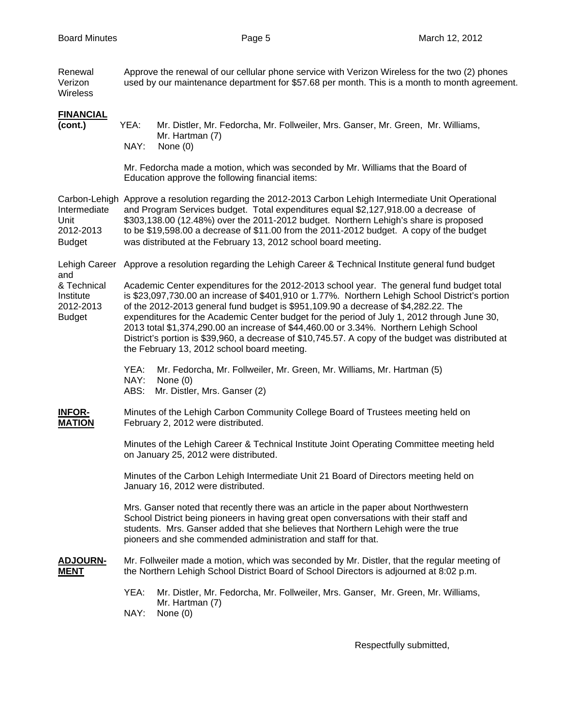Renewal Approve the renewal of our cellular phone service with Verizon Wireless for the two (2) phones Verizon used by our maintenance department for \$57.68 per month. This is a month to month agreement. **Wireless FINANCIAL (cont.)** YEA: Mr. Distler, Mr. Fedorcha, Mr. Follweiler, Mrs. Ganser, Mr. Green, Mr. Williams, Mr. Hartman (7)<br>NAY: None (0) None (0) Mr. Fedorcha made a motion, which was seconded by Mr. Williams that the Board of Education approve the following financial items: Carbon-Lehigh Approve a resolution regarding the 2012-2013 Carbon Lehigh Intermediate Unit Operational Intermediate and Program Services budget. Total expenditures equal \$2,127,918.00 a decrease of Unit \$303,138.00 (12.48%) over the 2011-2012 budget. Northern Lehigh's share is proposed 2012-2013 to be \$19,598.00 a decrease of \$11.00 from the 2011-2012 budget. A copy of the budget Budget was distributed at the February 13, 2012 school board meeting. Lehigh Career Approve a resolution regarding the Lehigh Career & Technical Institute general fund budget and & Technical Academic Center expenditures for the 2012-2013 school year. The general fund budget total Institute is \$23,097,730.00 an increase of \$401,910 or 1.77%. Northern Lehigh School District's portion 2012-2013 of the 2012-2013 general fund budget is \$951,109.90 a decrease of \$4,282.22. The Budget expenditures for the Academic Center budget for the period of July 1, 2012 through June 30, 2013 total \$1,374,290.00 an increase of \$44,460.00 or 3.34%. Northern Lehigh School District's portion is \$39,960, a decrease of \$10,745.57. A copy of the budget was distributed at the February 13, 2012 school board meeting. YEA: Mr. Fedorcha, Mr. Follweiler, Mr. Green, Mr. Williams, Mr. Hartman (5) NAY: None (0) ABS: Mr. Distler, Mrs. Ganser (2) **INFOR-** Minutes of the Lehigh Carbon Community College Board of Trustees meeting held on **MATION** February 2, 2012 were distributed. Minutes of the Lehigh Career & Technical Institute Joint Operating Committee meeting held on January 25, 2012 were distributed. Minutes of the Carbon Lehigh Intermediate Unit 21 Board of Directors meeting held on January 16, 2012 were distributed. Mrs. Ganser noted that recently there was an article in the paper about Northwestern School District being pioneers in having great open conversations with their staff and students. Mrs. Ganser added that she believes that Northern Lehigh were the true pioneers and she commended administration and staff for that. **ADJOURN-** Mr. Follweiler made a motion, which was seconded by Mr. Distler, that the regular meeting of **MENT** the Northern Lehigh School District Board of School Directors is adjourned at 8:02 p.m. YEA: Mr. Distler, Mr. Fedorcha, Mr. Follweiler, Mrs. Ganser, Mr. Green, Mr. Williams, Mr. Hartman (7) NAY: None (0)

Respectfully submitted,